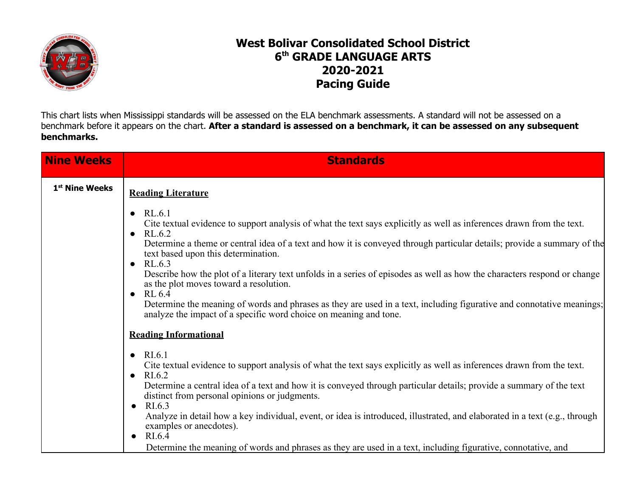

## **West Bolivar Consolidated School District 6 th GRADE LANGUAGE ARTS 2020-2021 Pacing Guide**

This chart lists when Mississippi standards will be assessed on the ELA benchmark assessments. A standard will not be assessed on a benchmark before it appears on the chart. After a standard is assessed on a benchmark, it can be assessed on any subsequent **benchmarks.**

| <b>Nine Weeks</b>          | <b>Standards</b>                                                                                                                                                                           |
|----------------------------|--------------------------------------------------------------------------------------------------------------------------------------------------------------------------------------------|
| 1 <sup>st</sup> Nine Weeks | <b>Reading Literature</b>                                                                                                                                                                  |
|                            | RL.6.1<br>$\bullet$<br>Cite textual evidence to support analysis of what the text says explicitly as well as inferences drawn from the text.<br>$\bullet$ RL.6.2                           |
|                            | Determine a theme or central idea of a text and how it is conveyed through particular details; provide a summary of the<br>text based upon this determination.<br>$\bullet$ RL.6.3         |
|                            | Describe how the plot of a literary text unfolds in a series of episodes as well as how the characters respond or change<br>as the plot moves toward a resolution.<br>$\bullet$ RL 6.4     |
|                            | Determine the meaning of words and phrases as they are used in a text, including figurative and connotative meanings;<br>analyze the impact of a specific word choice on meaning and tone. |
|                            | <b>Reading Informational</b>                                                                                                                                                               |
|                            | $\bullet$ RI.6.1<br>Cite textual evidence to support analysis of what the text says explicitly as well as inferences drawn from the text.<br>RI.6.2<br>$\bullet$                           |
|                            | Determine a central idea of a text and how it is conveyed through particular details; provide a summary of the text<br>distinct from personal opinions or judgments.<br>$\bullet$ RI.6.3   |
|                            | Analyze in detail how a key individual, event, or idea is introduced, illustrated, and elaborated in a text (e.g., through<br>examples or anecdotes).<br>$\bullet$ RI.6.4                  |
|                            | Determine the meaning of words and phrases as they are used in a text, including figurative, connotative, and                                                                              |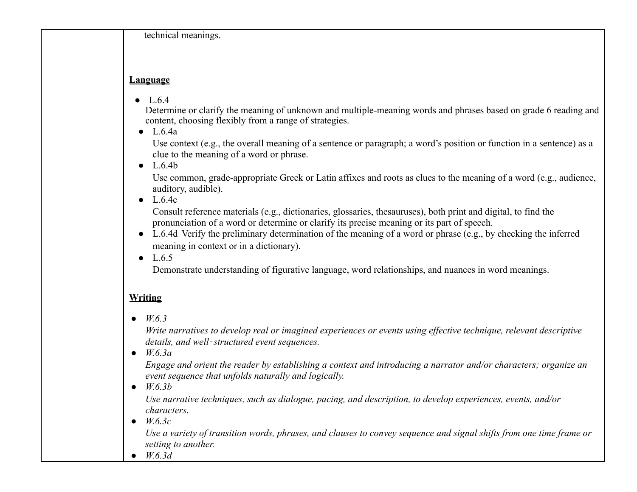technical meanings.

## **Language**

•  $L.6.4$ 

Determine or clarify the meaning of unknown and multiple-meaning words and phrases based on grade 6 reading and content, choosing flexibly from a range of strategies.

 $\bullet$  L.6.4a

Use context (e.g., the overall meaning of a sentence or paragraph; a word's position or function in a sentence) as a clue to the meaning of a word or phrase.

 $\bullet$  L.6.4b

Use common, grade-appropriate Greek or Latin affixes and roots as clues to the meaning of a word (e.g., audience, auditory, audible).

 $\bullet$  L.6.4c

Consult reference materials (e.g., dictionaries, glossaries, thesauruses), both print and digital, to find the pronunciation of a word or determine or clarify its precise meaning or its part of speech.

- L.6.4d Verify the preliminary determination of the meaning of a word or phrase (e.g., by checking the inferred meaning in context or in a dictionary).
- $\bullet$  L.6.5

Demonstrate understanding of figurative language, word relationships, and nuances in word meanings.

## **Writing**

*● W.6.3*

*Write narratives to develop real or imagined experiences or events using effective technique, relevant descriptive details, and well*‐*structured event sequences.*

*● W.6.3a*

*Engage and orient the reader by establishing a context and introducing a narrator and/or characters; organize an event sequence that unfolds naturally and logically.*

*● W.6.3b*

*Use narrative techniques, such as dialogue, pacing, and description, to develop experiences, events, and/or characters.*

*● W.6.3c*

*Use a variety of transition words, phrases, and clauses to convey sequence and signal shifts from one time frame or setting to another.*

*● W.6.3d*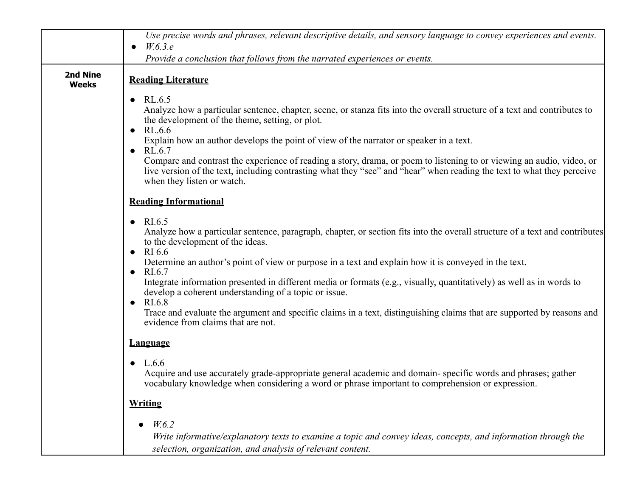|                          | Use precise words and phrases, relevant descriptive details, and sensory language to convey experiences and events.<br>W.6.3.e<br>$\bullet$                                                                                                                                                                                                                                                                                                                                                                                                                                                                                                                                                                  |
|--------------------------|--------------------------------------------------------------------------------------------------------------------------------------------------------------------------------------------------------------------------------------------------------------------------------------------------------------------------------------------------------------------------------------------------------------------------------------------------------------------------------------------------------------------------------------------------------------------------------------------------------------------------------------------------------------------------------------------------------------|
|                          | Provide a conclusion that follows from the narrated experiences or events.                                                                                                                                                                                                                                                                                                                                                                                                                                                                                                                                                                                                                                   |
| 2nd Nine<br><b>Weeks</b> | <b>Reading Literature</b>                                                                                                                                                                                                                                                                                                                                                                                                                                                                                                                                                                                                                                                                                    |
|                          | $\bullet$ RL.6.5<br>Analyze how a particular sentence, chapter, scene, or stanza fits into the overall structure of a text and contributes to<br>the development of the theme, setting, or plot.<br>RL.6.6<br>$\bullet$<br>Explain how an author develops the point of view of the narrator or speaker in a text.<br>$\bullet$ RL.6.7<br>Compare and contrast the experience of reading a story, drama, or poem to listening to or viewing an audio, video, or<br>live version of the text, including contrasting what they "see" and "hear" when reading the text to what they perceive<br>when they listen or watch.                                                                                       |
|                          | <b>Reading Informational</b>                                                                                                                                                                                                                                                                                                                                                                                                                                                                                                                                                                                                                                                                                 |
|                          | $\bullet$ RI.6.5<br>Analyze how a particular sentence, paragraph, chapter, or section fits into the overall structure of a text and contributes<br>to the development of the ideas.<br>$\bullet$ RI 6.6<br>Determine an author's point of view or purpose in a text and explain how it is conveyed in the text.<br>$\bullet$ RI.6.7<br>Integrate information presented in different media or formats (e.g., visually, quantitatively) as well as in words to<br>develop a coherent understanding of a topic or issue.<br>RI.6.8<br>$\bullet$<br>Trace and evaluate the argument and specific claims in a text, distinguishing claims that are supported by reasons and<br>evidence from claims that are not. |
|                          | <b>Language</b>                                                                                                                                                                                                                                                                                                                                                                                                                                                                                                                                                                                                                                                                                              |
|                          | • $L.6.6$<br>Acquire and use accurately grade-appropriate general academic and domain-specific words and phrases; gather<br>vocabulary knowledge when considering a word or phrase important to comprehension or expression.                                                                                                                                                                                                                                                                                                                                                                                                                                                                                 |
|                          | <b>Writing</b>                                                                                                                                                                                                                                                                                                                                                                                                                                                                                                                                                                                                                                                                                               |
|                          | W.6.2<br>Write informative/explanatory texts to examine a topic and convey ideas, concepts, and information through the<br>selection, organization, and analysis of relevant content.                                                                                                                                                                                                                                                                                                                                                                                                                                                                                                                        |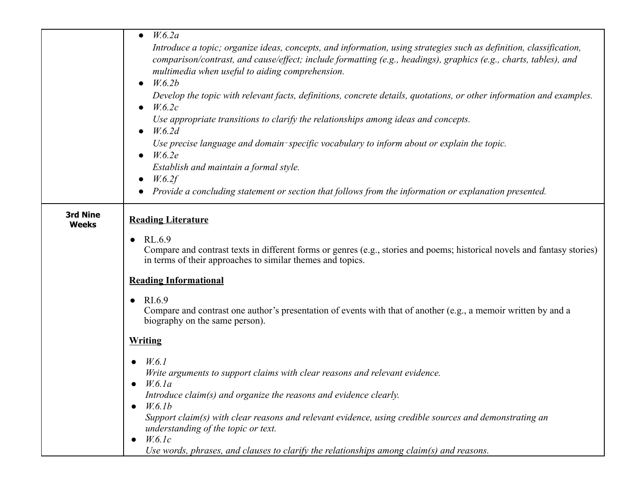|                                 | W.6.2a<br>$\bullet$<br>Introduce a topic; organize ideas, concepts, and information, using strategies such as definition, classification,<br>comparison/contrast, and cause/effect; include formatting (e.g., headings), graphics (e.g., charts, tables), and<br>multimedia when useful to aiding comprehension.<br>W.6.2b<br>$\bullet$<br>Develop the topic with relevant facts, definitions, concrete details, quotations, or other information and examples.<br>W.6.2c<br>Use appropriate transitions to clarify the relationships among ideas and concepts.<br>W.6.2d<br>Use precise language and domain-specific vocabulary to inform about or explain the topic.<br>W.6.2e<br>Establish and maintain a formal style.<br>W.6.2f<br>Provide a concluding statement or section that follows from the information or explanation presented. |
|---------------------------------|-----------------------------------------------------------------------------------------------------------------------------------------------------------------------------------------------------------------------------------------------------------------------------------------------------------------------------------------------------------------------------------------------------------------------------------------------------------------------------------------------------------------------------------------------------------------------------------------------------------------------------------------------------------------------------------------------------------------------------------------------------------------------------------------------------------------------------------------------|
| <b>3rd Nine</b><br><b>Weeks</b> | <b>Reading Literature</b><br>RL.6.9<br>$\bullet$<br>Compare and contrast texts in different forms or genres (e.g., stories and poems; historical novels and fantasy stories)<br>in terms of their approaches to similar themes and topics.                                                                                                                                                                                                                                                                                                                                                                                                                                                                                                                                                                                                    |
|                                 | <b>Reading Informational</b><br>RI.6.9<br>$\bullet$<br>Compare and contrast one author's presentation of events with that of another (e.g., a memoir written by and a<br>biography on the same person).                                                                                                                                                                                                                                                                                                                                                                                                                                                                                                                                                                                                                                       |
|                                 | <b>Writing</b><br>W.6.1<br>$\bullet$<br>Write arguments to support claims with clear reasons and relevant evidence.<br>W.6.1a<br>Introduce claim(s) and organize the reasons and evidence clearly.<br>W.6.1b<br>$\bullet$<br>Support claim(s) with clear reasons and relevant evidence, using credible sources and demonstrating an<br>understanding of the topic or text.<br>W.6.1c<br>$\bullet$<br>Use words, phrases, and clauses to clarify the relationships among claim(s) and reasons.                                                                                                                                                                                                                                                                                                                                                 |